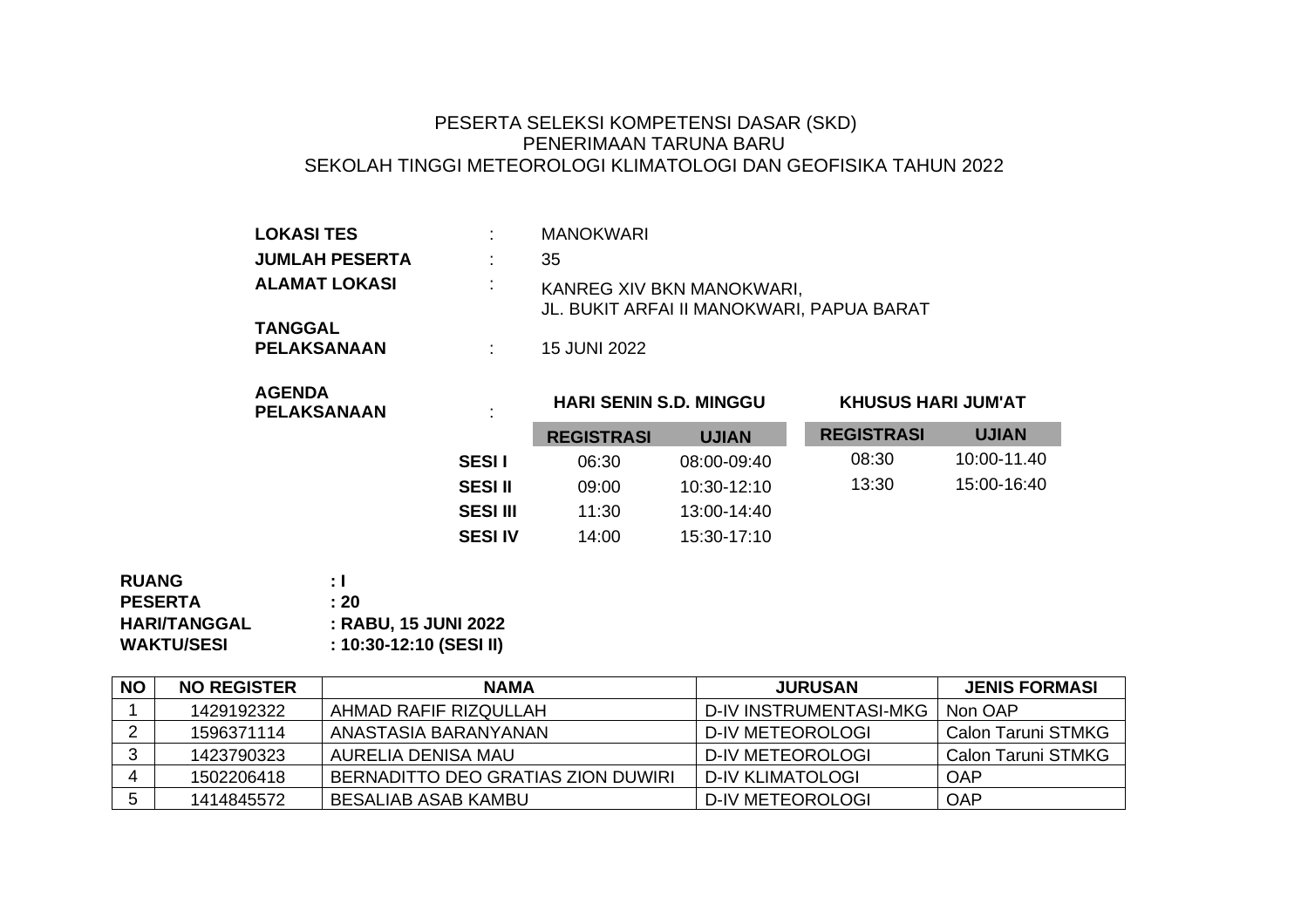## PESERTA SELEKSI KOMPETENSI DASAR (SKD) PENERIMAAN TARUNA BARU SEKOLAH TINGGI METEOROLOGI KLIMATOLOGI DAN GEOFISIKA TAHUN 2022

| <b>LOKASI TES</b>             |   | <b>MANOKWARI</b>                                                       |
|-------------------------------|---|------------------------------------------------------------------------|
| <b>JUMLAH PESERTA</b>         |   | 35                                                                     |
| <b>ALAMAT LOKASI</b>          | ÷ | KANREG XIV BKN MANOKWARI,<br>JL. BUKIT ARFAI II MANOKWARI, PAPUA BARAT |
| <b>TANGGAL</b><br>PELAKSANAAN |   | 15 JUNI 2022                                                           |

| <b>AGENDA</b>      |  |
|--------------------|--|
| <b>PELAKSANAAN</b> |  |

## **HARI SENIN S.D. MINGGU KHUSUS HARI JUM'AT**

|                 | <b>REGISTRASI</b> | <b>UJIAN</b> | <b>REGISTRASI</b> | <b>UJIAN</b> |
|-----------------|-------------------|--------------|-------------------|--------------|
| <b>SESII</b>    | 06:30             | 08:00-09:40  | 08:30             | 10:00-11.40  |
| <b>SESI II</b>  | 09:00             | 10:30-12:10  | 13:30             | 15:00-16:40  |
| <b>SESI III</b> | 11:30             | 13:00-14:40  |                   |              |
| <b>SESI IV</b>  | 14:00             | 15:30-17:10  |                   |              |

| : I                     |
|-------------------------|
| : 20                    |
| : RABU, 15 JUNI 2022    |
| : 10:30-12:10 (SESI II) |
|                         |

| <b>NO</b> | <b>NO REGISTER</b> | <b>NAMA</b>                           | <b>JURUSAN</b>         | <b>JENIS FORMASI</b>      |
|-----------|--------------------|---------------------------------------|------------------------|---------------------------|
|           | 1429192322         | AHMAD RAFIF RIZQULLAH                 | D-IV INSTRUMENTASI-MKG | Non OAP                   |
|           | 1596371114         | ANASTASIA BARANYANAN                  | D-IV METEOROLOGI       | <b>Calon Taruni STMKG</b> |
|           | 1423790323         | AURELIA DENISA MAU                    | D-IV METEOROLOGI       | Calon Taruni STMKG        |
|           | 1502206418         | I BERNADITTO DEO GRATIAS ZION DUWIRI. | D-IV KLIMATOLOGI       | OAP                       |
|           | 1414845572         | BESALIAB ASAB KAMBU                   | D-IV METEOROLOGI       | OAP                       |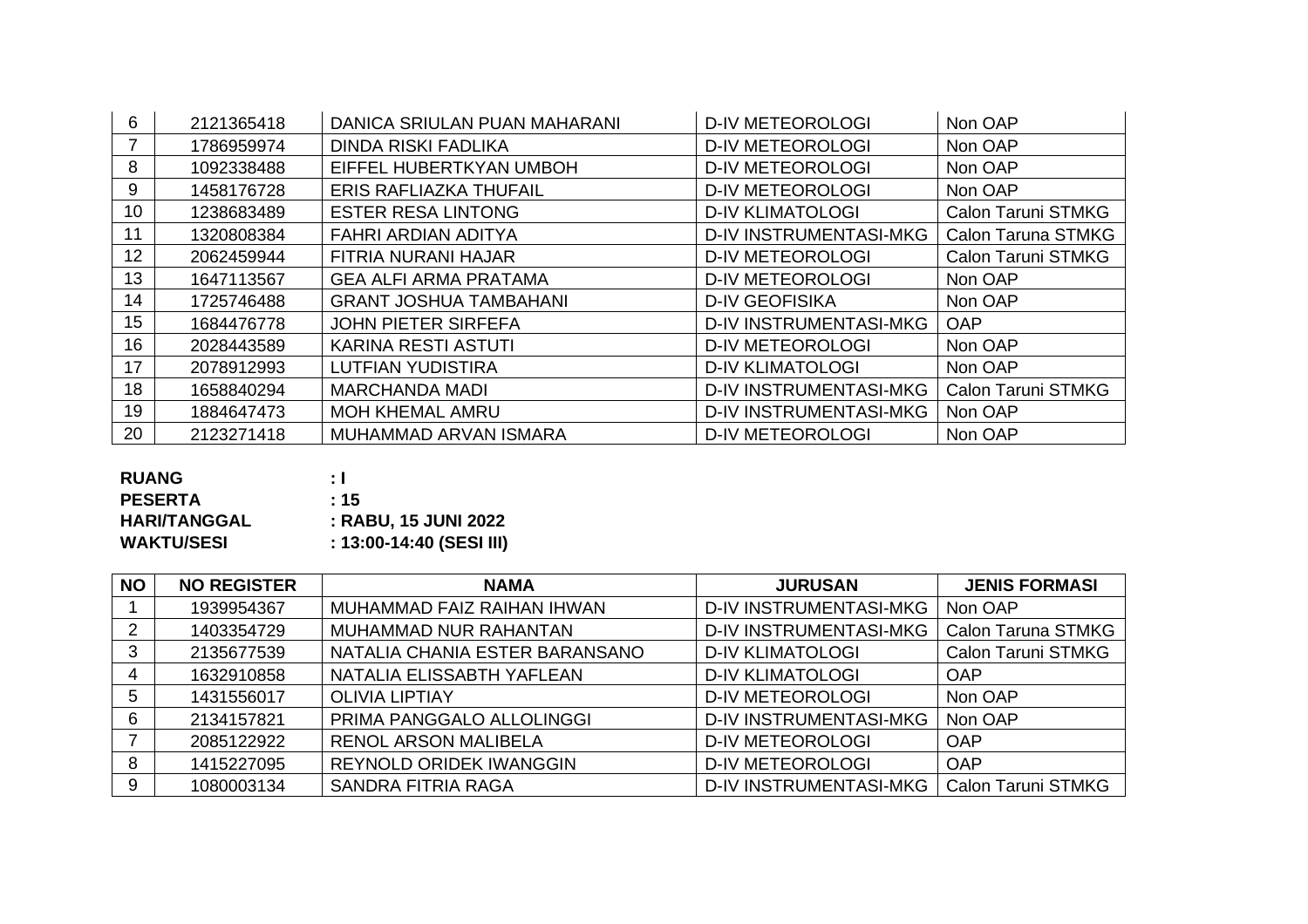| 6                | 2121365418 | DANICA SRIULAN PUAN MAHARANI  | <b>D-IV METEOROLOGI</b>       | Non OAP                   |
|------------------|------------|-------------------------------|-------------------------------|---------------------------|
|                  | 1786959974 | <b>DINDA RISKI FADLIKA</b>    | <b>D-IV METEOROLOGI</b>       | Non OAP                   |
| 8                | 1092338488 | EIFFEL HUBERTKYAN UMBOH       | <b>D-IV METEOROLOGI</b>       | Non OAP                   |
| 9                | 1458176728 | ERIS RAFLIAZKA THUFAIL        | <b>D-IV METEOROLOGI</b>       | Non OAP                   |
| 10 <sup>°</sup>  | 1238683489 | <b>ESTER RESA LINTONG</b>     | <b>D-IV KLIMATOLOGI</b>       | <b>Calon Taruni STMKG</b> |
| 11               | 1320808384 | FAHRI ARDIAN ADITYA           | <b>D-IV INSTRUMENTASI-MKG</b> | <b>Calon Taruna STMKG</b> |
| 12 <sub>2</sub>  | 2062459944 | FITRIA NURANI HAJAR           | <b>D-IV METEOROLOGI</b>       | Calon Taruni STMKG        |
| 13               | 1647113567 | <b>GEA ALFI ARMA PRATAMA</b>  | <b>D-IV METEOROLOGI</b>       | Non OAP                   |
| 14               | 1725746488 | <b>GRANT JOSHUA TAMBAHANI</b> | <b>D-IV GEOFISIKA</b>         | Non OAP                   |
| 15 <sub>15</sub> | 1684476778 | <b>JOHN PIETER SIRFEFA</b>    | <b>D-IV INSTRUMENTASI-MKG</b> | <b>OAP</b>                |
| 16               | 2028443589 | <b>KARINA RESTI ASTUTI</b>    | <b>D-IV METEOROLOGI</b>       | Non OAP                   |
| 17               | 2078912993 | <b>LUTFIAN YUDISTIRA</b>      | <b>D-IV KLIMATOLOGI</b>       | Non OAP                   |
| 18               | 1658840294 | <b>MARCHANDA MADI</b>         | <b>D-IV INSTRUMENTASI-MKG</b> | Calon Taruni STMKG        |
| 19               | 1884647473 | <b>MOH KHEMAL AMRU</b>        | <b>D-IV INSTRUMENTASI-MKG</b> | Non OAP                   |
| 20               | 2123271418 | MUHAMMAD ARVAN ISMARA         | <b>D-IV METEOROLOGI</b>       | Non OAP                   |

| <b>RUANG</b>        | : I                      |
|---------------------|--------------------------|
| <b>PESERTA</b>      | :15                      |
| <b>HARI/TANGGAL</b> | : RABU, 15 JUNI 2022     |
| <b>WAKTU/SESI</b>   | : 13:00-14:40 (SESI III) |

| <b>NO</b> | <b>NO REGISTER</b> | <b>NAMA</b>                    | <b>JURUSAN</b>                | <b>JENIS FORMASI</b>      |
|-----------|--------------------|--------------------------------|-------------------------------|---------------------------|
|           | 1939954367         | MUHAMMAD FAIZ RAIHAN IHWAN     | <b>D-IV INSTRUMENTASI-MKG</b> | Non OAP                   |
| 2         | 1403354729         | MUHAMMAD NUR RAHANTAN          | <b>D-IV INSTRUMENTASI-MKG</b> | <b>Calon Taruna STMKG</b> |
| 3         | 2135677539         | NATALIA CHANIA ESTER BARANSANO | <b>D-IV KLIMATOLOGI</b>       | <b>Calon Taruni STMKG</b> |
| 4         | 1632910858         | NATALIA ELISSABTH YAFLEAN      | <b>D-IV KLIMATOLOGI</b>       | <b>OAP</b>                |
| 5         | 1431556017         | <b>OLIVIA LIPTIAY</b>          | <b>D-IV METEOROLOGI</b>       | Non OAP                   |
| 6         | 2134157821         | PRIMA PANGGALO ALLOLINGGI      | <b>D-IV INSTRUMENTASI-MKG</b> | Non OAP                   |
|           | 2085122922         | <b>RENOL ARSON MALIBELA</b>    | <b>D-IV METEOROLOGI</b>       | OAP                       |
| 8         | 1415227095         | <b>REYNOLD ORIDEK IWANGGIN</b> | <b>D-IV METEOROLOGI</b>       | <b>OAP</b>                |
| 9         | 1080003134         | SANDRA FITRIA RAGA             | <b>D-IV INSTRUMENTASI-MKG</b> | <b>Calon Taruni STMKG</b> |